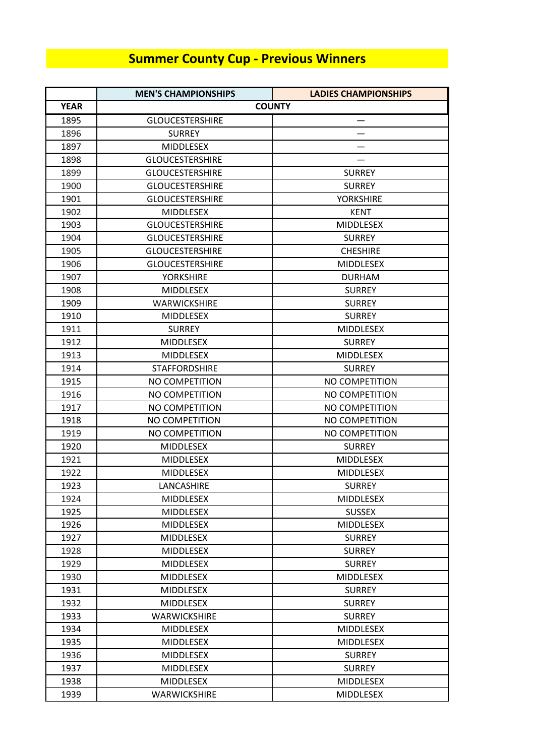## **Summer County Cup - Previous Winners**

|             | <b>MEN'S CHAMPIONSHIPS</b> | <b>LADIES CHAMPIONSHIPS</b> |
|-------------|----------------------------|-----------------------------|
| <b>YEAR</b> |                            | <b>COUNTY</b>               |
| 1895        | <b>GLOUCESTERSHIRE</b>     | —                           |
| 1896        | <b>SURREY</b>              |                             |
| 1897        | <b>MIDDLESEX</b>           |                             |
| 1898        | <b>GLOUCESTERSHIRE</b>     |                             |
| 1899        | <b>GLOUCESTERSHIRE</b>     | <b>SURREY</b>               |
| 1900        | <b>GLOUCESTERSHIRE</b>     | <b>SURREY</b>               |
| 1901        | <b>GLOUCESTERSHIRE</b>     | <b>YORKSHIRE</b>            |
| 1902        | MIDDLESEX                  | <b>KENT</b>                 |
| 1903        | <b>GLOUCESTERSHIRE</b>     | <b>MIDDLESEX</b>            |
| 1904        | <b>GLOUCESTERSHIRE</b>     | <b>SURREY</b>               |
| 1905        | <b>GLOUCESTERSHIRE</b>     | <b>CHESHIRE</b>             |
| 1906        | <b>GLOUCESTERSHIRE</b>     | <b>MIDDLESEX</b>            |
| 1907        | <b>YORKSHIRE</b>           | <b>DURHAM</b>               |
| 1908        | <b>MIDDLESEX</b>           | <b>SURREY</b>               |
| 1909        | <b>WARWICKSHIRE</b>        | <b>SURREY</b>               |
| 1910        | <b>MIDDLESEX</b>           | <b>SURREY</b>               |
| 1911        | <b>SURREY</b>              | MIDDLESEX                   |
| 1912        | <b>MIDDLESEX</b>           | <b>SURREY</b>               |
| 1913        | <b>MIDDLESEX</b>           | <b>MIDDLESEX</b>            |
| 1914        | <b>STAFFORDSHIRE</b>       | <b>SURREY</b>               |
| 1915        | NO COMPETITION             | NO COMPETITION              |
| 1916        | NO COMPETITION             | NO COMPETITION              |
| 1917        | NO COMPETITION             | NO COMPETITION              |
| 1918        | NO COMPETITION             | NO COMPETITION              |
| 1919        | NO COMPETITION             | NO COMPETITION              |
| 1920        | <b>MIDDLESEX</b>           | <b>SURREY</b>               |
| 1921        | <b>MIDDLESEX</b>           | <b>MIDDLESEX</b>            |
| 1922        | MIDDLESEX                  | <b>MIDDLESEX</b>            |
| 1923        | LANCASHIRE                 | <b>SURREY</b>               |
| 1924        | <b>MIDDLESEX</b>           | <b>MIDDLESEX</b>            |
| 1925        | <b>MIDDLESEX</b>           | <b>SUSSEX</b>               |
| 1926        | <b>MIDDLESEX</b>           | <b>MIDDLESEX</b>            |
| 1927        | <b>MIDDLESEX</b>           | <b>SURREY</b>               |
| 1928        | MIDDLESEX                  | <b>SURREY</b>               |
| 1929        | <b>MIDDLESEX</b>           | <b>SURREY</b>               |
| 1930        | <b>MIDDLESEX</b>           | <b>MIDDLESEX</b>            |
| 1931        | <b>MIDDLESEX</b>           | <b>SURREY</b>               |
| 1932        | MIDDLESEX                  | <b>SURREY</b>               |
| 1933        | <b>WARWICKSHIRE</b>        | <b>SURREY</b>               |
| 1934        | <b>MIDDLESEX</b>           | <b>MIDDLESEX</b>            |
| 1935        | <b>MIDDLESEX</b>           | <b>MIDDLESEX</b>            |
| 1936        | <b>MIDDLESEX</b>           | <b>SURREY</b>               |
| 1937        | MIDDLESEX                  | <b>SURREY</b>               |
| 1938        | <b>MIDDLESEX</b>           | <b>MIDDLESEX</b>            |
| 1939        | <b>WARWICKSHIRE</b>        | <b>MIDDLESEX</b>            |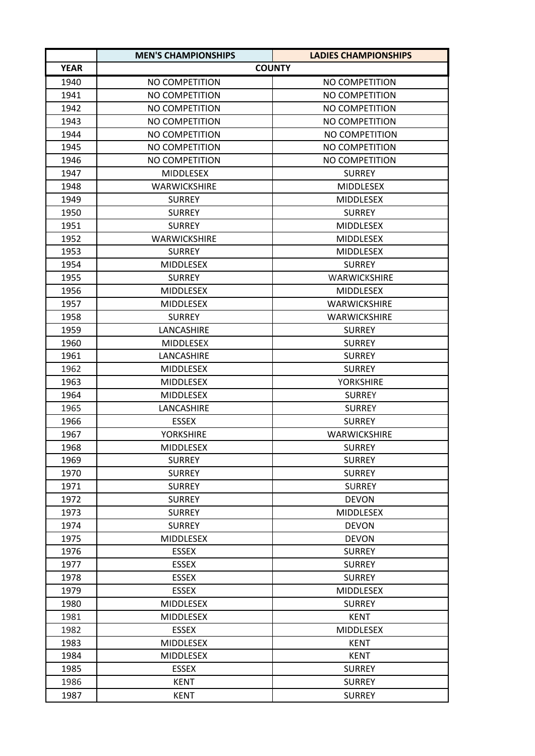|             | <b>MEN'S CHAMPIONSHIPS</b> | LADIES CHAMPIONSHIPS  |
|-------------|----------------------------|-----------------------|
| <b>YEAR</b> |                            | <b>COUNTY</b>         |
| 1940        | NO COMPETITION             | NO COMPETITION        |
| 1941        | NO COMPETITION             | NO COMPETITION        |
| 1942        | NO COMPETITION             | NO COMPETITION        |
| 1943        | NO COMPETITION             | NO COMPETITION        |
| 1944        | NO COMPETITION             | NO COMPETITION        |
| 1945        | <b>NO COMPETITION</b>      | <b>NO COMPETITION</b> |
| 1946        | NO COMPETITION             | NO COMPETITION        |
| 1947        | <b>MIDDLESEX</b>           | <b>SURREY</b>         |
| 1948        | <b>WARWICKSHIRE</b>        | <b>MIDDLESEX</b>      |
| 1949        | <b>SURREY</b>              | <b>MIDDLESEX</b>      |
| 1950        | <b>SURREY</b>              | <b>SURREY</b>         |
| 1951        | <b>SURREY</b>              | <b>MIDDLESEX</b>      |
| 1952        | <b>WARWICKSHIRE</b>        | <b>MIDDLESEX</b>      |
| 1953        | <b>SURREY</b>              | <b>MIDDLESEX</b>      |
| 1954        | <b>MIDDLESEX</b>           | <b>SURREY</b>         |
| 1955        | <b>SURREY</b>              | <b>WARWICKSHIRE</b>   |
| 1956        | <b>MIDDLESEX</b>           | MIDDLESEX             |
| 1957        | <b>MIDDLESEX</b>           | <b>WARWICKSHIRE</b>   |
| 1958        | <b>SURREY</b>              | WARWICKSHIRE          |
| 1959        | LANCASHIRE                 | <b>SURREY</b>         |
| 1960        | <b>MIDDLESEX</b>           | <b>SURREY</b>         |
| 1961        | LANCASHIRE                 | <b>SURREY</b>         |
| 1962        | <b>MIDDLESEX</b>           | <b>SURREY</b>         |
| 1963        | <b>MIDDLESEX</b>           | <b>YORKSHIRE</b>      |
| 1964        | <b>MIDDLESEX</b>           | <b>SURREY</b>         |
| 1965        | LANCASHIRE                 | <b>SURREY</b>         |
| 1966        | <b>ESSEX</b>               | <b>SURREY</b>         |
| 1967        | <b>YORKSHIRE</b>           | <b>WARWICKSHIRE</b>   |
| 1968        | <b>MIDDLESEX</b>           | <b>SURREY</b>         |
| 1969        | <b>SURREY</b>              | <b>SURREY</b>         |
| 1970        | <b>SURREY</b>              | <b>SURREY</b>         |
| 1971        | <b>SURREY</b>              | <b>SURREY</b>         |
| 1972        | <b>SURREY</b>              | <b>DEVON</b>          |
| 1973        | <b>SURREY</b>              | <b>MIDDLESEX</b>      |
| 1974        | <b>SURREY</b>              | <b>DEVON</b>          |
| 1975        | MIDDLESEX                  | <b>DEVON</b>          |
| 1976        | <b>ESSEX</b>               | <b>SURREY</b>         |
| 1977        | <b>ESSEX</b>               | <b>SURREY</b>         |
| 1978        | <b>ESSEX</b>               | <b>SURREY</b>         |
| 1979        | <b>ESSEX</b>               | <b>MIDDLESEX</b>      |
| 1980        | MIDDLESEX                  | <b>SURREY</b>         |
| 1981        | <b>MIDDLESEX</b>           | <b>KENT</b>           |
| 1982        | <b>ESSEX</b>               | <b>MIDDLESEX</b>      |
| 1983        | <b>MIDDLESEX</b>           | KENT                  |
| 1984        | <b>MIDDLESEX</b>           | <b>KENT</b>           |
| 1985        | <b>ESSEX</b>               | <b>SURREY</b>         |
| 1986        | <b>KENT</b>                | <b>SURREY</b>         |
| 1987        | KENT                       | <b>SURREY</b>         |